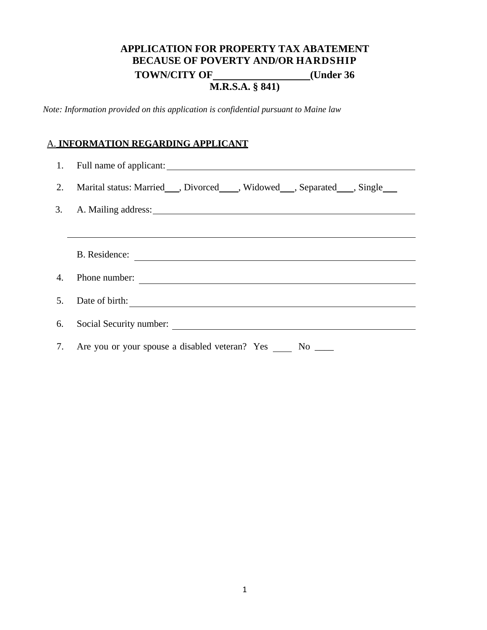# **APPLICATION FOR PROPERTY TAX ABATEMENT BECAUSE OF POVERTY AND/OR HARDSHIP TOWN/CITY OF (Under 36) M.R.S.A. § 841)**

*Note: Information provided on this application is confidential pursuant to Maine law* 

#### A. **INFORMATION REGARDING APPLICANT**

|    | 2. Marital status: Married___, Divorced____, Widowed___, Separated___, Single___ |
|----|----------------------------------------------------------------------------------|
|    | 3. A. Mailing address: 2008. A. Mailing address:                                 |
|    |                                                                                  |
|    | B. Residence:                                                                    |
| 4. | Phone number:                                                                    |
|    |                                                                                  |
|    | 6. Social Security number:                                                       |
|    | 7. Are you or your spouse a disabled veteran? Yes No _____                       |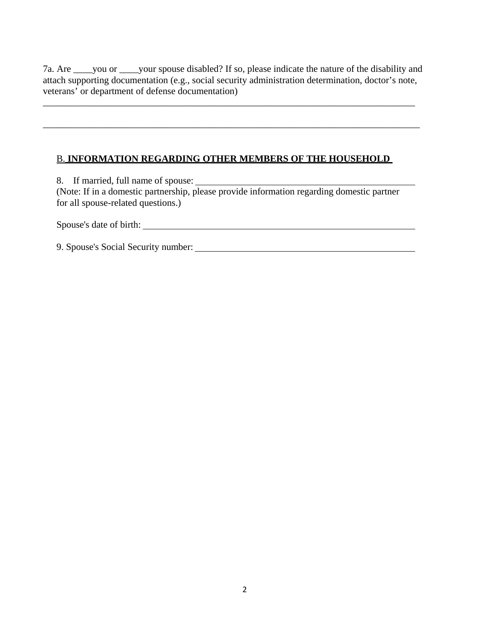7a. Are \_\_\_\_you or \_\_\_\_your spouse disabled? If so, please indicate the nature of the disability and attach supporting documentation (e.g., social security administration determination, doctor's note, veterans' or department of defense documentation)

\_\_\_\_\_\_\_\_\_\_\_\_\_\_\_\_\_\_\_\_\_\_\_\_\_\_\_\_\_\_\_\_\_\_\_\_\_\_\_\_\_\_\_\_\_\_\_\_\_\_\_\_\_\_\_\_\_\_\_\_\_\_\_\_\_\_\_\_\_\_\_\_\_\_\_\_\_\_

\_\_\_\_\_\_\_\_\_\_\_\_\_\_\_\_\_\_\_\_\_\_\_\_\_\_\_\_\_\_\_\_\_\_\_\_\_\_\_\_\_\_\_\_\_\_\_\_\_\_\_\_\_\_\_\_\_\_\_\_\_\_\_\_\_\_\_\_\_\_\_\_\_\_\_\_\_\_\_

#### B. **INFORMATION REGARDING OTHER MEMBERS OF THE HOUSEHOLD**

8. If married, full name of spouse:

(Note: If in a domestic partnership, please provide information regarding domestic partner for all spouse-related questions.)

Spouse's date of birth:

9. Spouse's Social Security number: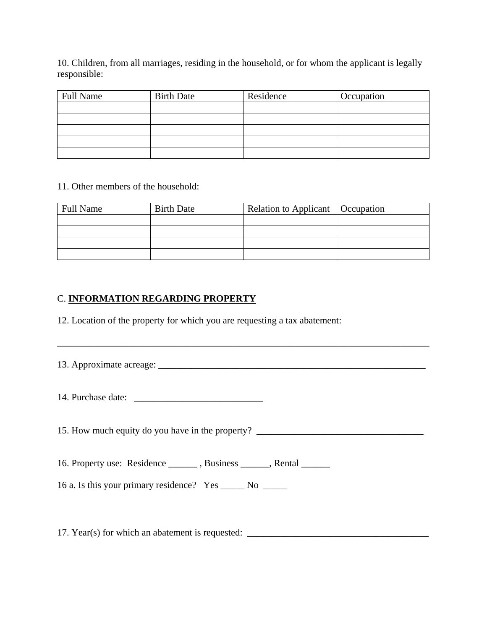10. Children, from all marriages, residing in the household, or for whom the applicant is legally responsible:

| <b>Full Name</b> | <b>Birth Date</b> | Residence | Occupation |
|------------------|-------------------|-----------|------------|
|                  |                   |           |            |
|                  |                   |           |            |
|                  |                   |           |            |
|                  |                   |           |            |
|                  |                   |           |            |

#### 11. Other members of the household:

| <b>Full Name</b> | <b>Birth Date</b> | Relation to Applicant   Occupation |  |
|------------------|-------------------|------------------------------------|--|
|                  |                   |                                    |  |
|                  |                   |                                    |  |
|                  |                   |                                    |  |
|                  |                   |                                    |  |

## C. **INFORMATION REGARDING PROPERTY**

12. Location of the property for which you are requesting a tax abatement:

| 15. How much equity do you have in the property? _______________________________ |  |
|----------------------------------------------------------------------------------|--|
| 16. Property use: Residence _______, Business _____, Rental ______               |  |
| 16 a. Is this your primary residence? Yes _______ No ______                      |  |

\_\_\_\_\_\_\_\_\_\_\_\_\_\_\_\_\_\_\_\_\_\_\_\_\_\_\_\_\_\_\_\_\_\_\_\_\_\_\_\_\_\_\_\_\_\_\_\_\_\_\_\_\_\_\_\_\_\_\_\_\_\_\_\_\_\_\_\_\_\_\_\_\_\_\_\_\_\_

17. Year(s) for which an abatement is requested: \_\_\_\_\_\_\_\_\_\_\_\_\_\_\_\_\_\_\_\_\_\_\_\_\_\_\_\_\_\_\_\_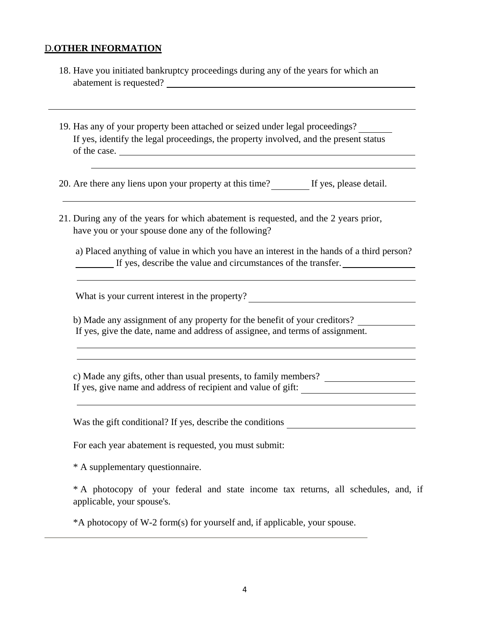#### D.**OTHER INFORMATION**

- 18. Have you initiated bankruptcy proceedings during any of the years for which an abatement is requested?
- 19. Has any of your property been attached or seized under legal proceedings? If yes, identify the legal proceedings, the property involved, and the present status of the case.

20. Are there any liens upon your property at this time? If yes, please detail.

21. During any of the years for which abatement is requested, and the 2 years prior, have you or your spouse done any of the following?

a) Placed anything of value in which you have an interest in the hands of a third person? If yes, describe the value and circumstances of the transfer.

What is your current interest in the property?

b) Made any assignment of any property for the benefit of your creditors? If yes, give the date, name and address of assignee, and terms of assignment.

c) Made any gifts, other than usual presents, to family members? If yes, give name and address of recipient and value of gift:

Was the gift conditional? If yes, describe the conditions

For each year abatement is requested, you must submit:

\* A supplementary questionnaire.

\* A photocopy of your federal and state income tax returns, all schedules, and, if applicable, your spouse's.

\*A photocopy of W-2 form(s) for yourself and, if applicable, your spouse.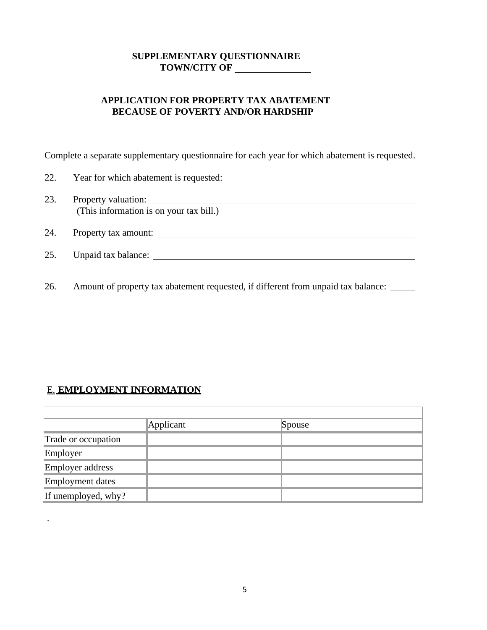### **SUPPLEMENTARY QUESTIONNAIRE TOWN/CITY OF**

### **APPLICATION FOR PROPERTY TAX ABATEMENT BECAUSE OF POVERTY AND/OR HARDSHIP**

Complete a separate supplementary questionnaire for each year for which abatement is requested.

| 22. | Year for which abatement is requested:  |
|-----|-----------------------------------------|
| 23. | (This information is on your tax bill.) |
| 24. | Property tax amount:                    |
| 25. | Unpaid tax balance:                     |

26. Amount of property tax abatement requested, if different from unpaid tax balance:

## E. **EMPLOYMENT INFORMATION**

.

|                         | Applicant | Spouse |
|-------------------------|-----------|--------|
| Trade or occupation     |           |        |
| Employer                |           |        |
| <b>Employer address</b> |           |        |
| <b>Employment dates</b> |           |        |
| If unemployed, why?     |           |        |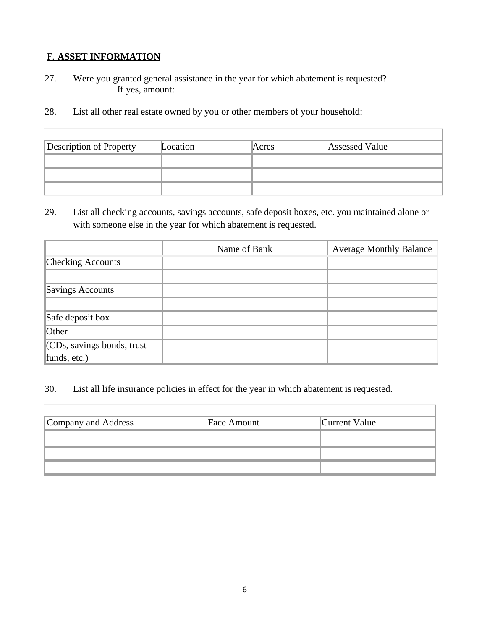# F. **ASSET INFORMATION**

- 27. Were you granted general assistance in the year for which abatement is requested? If yes, amount:
- 28. List all other real estate owned by you or other members of your household:

| <b>Description of Property</b> | Location | Acres | Assessed Value |
|--------------------------------|----------|-------|----------------|
|                                |          |       |                |
|                                |          |       |                |
|                                |          |       |                |

29. List all checking accounts, savings accounts, safe deposit boxes, etc. you maintained alone or with someone else in the year for which abatement is requested.

|                                | Name of Bank | <b>Average Monthly Balance</b> |
|--------------------------------|--------------|--------------------------------|
| <b>Checking Accounts</b>       |              |                                |
|                                |              |                                |
| Savings Accounts               |              |                                |
|                                |              |                                |
| Safe deposit box               |              |                                |
| Other                          |              |                                |
| $ $ (CDs, savings bonds, trust |              |                                |
| funds, $etc.$ )                |              |                                |

30. List all life insurance policies in effect for the year in which abatement is requested.

| Company and Address | Face Amount | Current Value |
|---------------------|-------------|---------------|
|                     |             |               |
|                     |             |               |
|                     |             |               |

Ī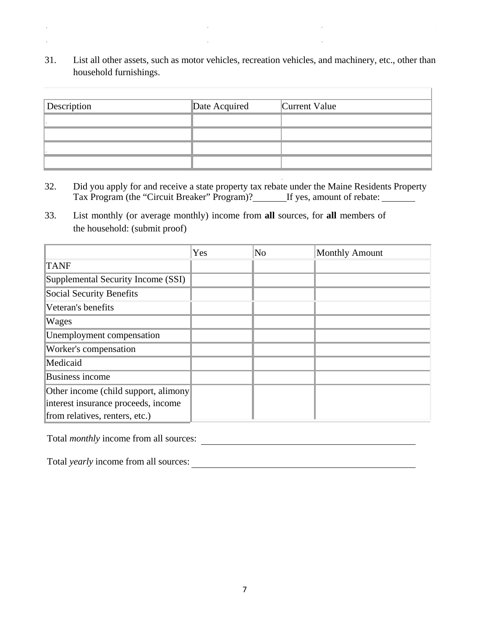31. List all other assets, such as motor vehicles, recreation vehicles, and machinery, etc., other than household furnishings.

Ī.

| Description | Date Acquired | Current Value |
|-------------|---------------|---------------|
|             |               |               |
|             |               |               |
|             |               |               |
|             |               |               |

- 32. Did you apply for and receive a state property tax rebate under the Maine Residents Property Tax Program (the "Circuit Breaker" Program)? If yes, amount of rebate:
- 33. List monthly (or average monthly) income from **all** sources, for **all** members of the household: (submit proof)

|                                      | Yes | No | <b>Monthly Amount</b> |
|--------------------------------------|-----|----|-----------------------|
| <b>TANF</b>                          |     |    |                       |
| Supplemental Security Income (SSI)   |     |    |                       |
| Social Security Benefits             |     |    |                       |
| Veteran's benefits                   |     |    |                       |
| Wages                                |     |    |                       |
| Unemployment compensation            |     |    |                       |
| Worker's compensation                |     |    |                       |
| Medicaid                             |     |    |                       |
| Business income                      |     |    |                       |
| Other income (child support, alimony |     |    |                       |
| interest insurance proceeds, income  |     |    |                       |
| from relatives, renters, etc.)       |     |    |                       |

Total *monthly* income from all sources:

 $\epsilon$ ÷,

Total *yearly* income from all sources: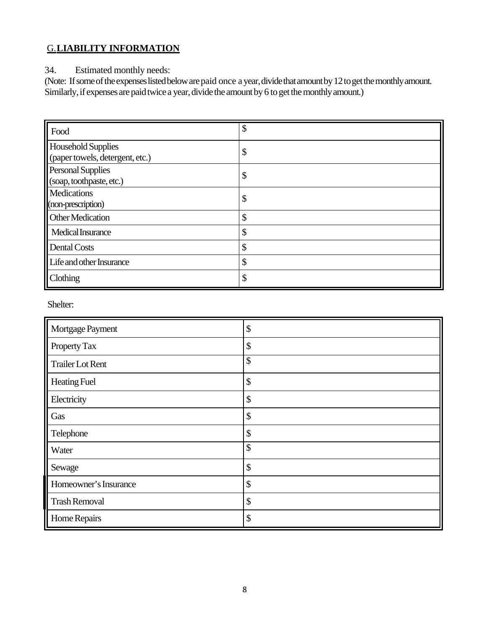# G.**LIABILITY INFORMATION**

34. Estimated monthly needs:

(Note: If some of the expenses listed below are paid once a year, divide that amount by 12 to get the monthly amount. Similarly, if expenses are paid twice a year, divide the amount by 6 to get the monthly amount.)

| Food                                                         | \$     |
|--------------------------------------------------------------|--------|
| <b>Household Supplies</b><br>(paper towels, detergent, etc.) | \$     |
| <b>Personal Supplies</b><br>(soap, toothpaste, etc.)         | \$     |
| <b>Medications</b><br>(non-prescription)                     | \$     |
| <b>Other Medication</b>                                      | \$     |
| Medical Insurance                                            | \$     |
| <b>Dental Costs</b>                                          | Φ<br>J |
| Life and other Insurance                                     | \$     |
| Clothing                                                     | \$     |

Shelter:

| Mortgage Payment        | \$ |
|-------------------------|----|
| Property Tax            | \$ |
| <b>Trailer Lot Rent</b> | \$ |
| <b>Heating Fuel</b>     | \$ |
| Electricity             | \$ |
| Gas                     | \$ |
| Telephone               | \$ |
| Water                   | \$ |
| Sewage                  | \$ |
| Homeowner's Insurance   | \$ |
| <b>Trash Removal</b>    | \$ |
| Home Repairs            | \$ |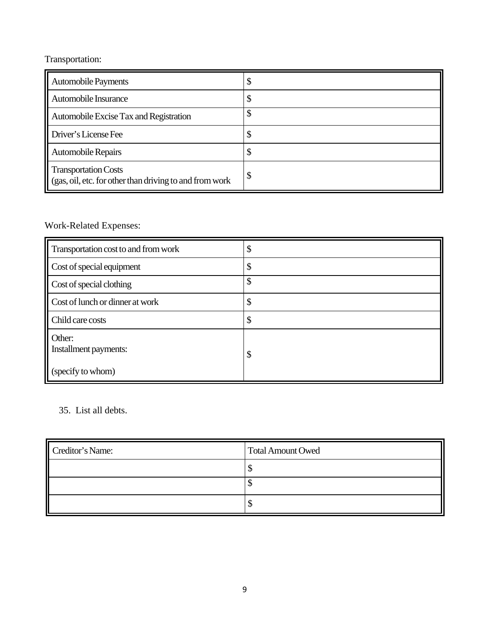# Transportation:

| <b>Automobile Payments</b>                                                       |   |
|----------------------------------------------------------------------------------|---|
| Automobile Insurance                                                             |   |
| Automobile Excise Tax and Registration                                           |   |
| Driver's License Fee                                                             |   |
| <b>Automobile Repairs</b>                                                        |   |
| Transportation Costs<br>(gas, oil, etc. for other than driving to and from work) | Φ |

# Work-Related Expenses:

| Transportation cost to and from work | Φ  |
|--------------------------------------|----|
| Cost of special equipment            | \$ |
| Cost of special clothing             | \$ |
| Cost of lunch or dinner at work      | \$ |
| Child care costs                     | \$ |
| Other:<br>Installment payments:      | \$ |
| (specify to whom)                    |    |

# 35. List all debts.

| Creditor's Name: | Total Amount Owed |  |
|------------------|-------------------|--|
|                  |                   |  |
|                  |                   |  |
|                  |                   |  |